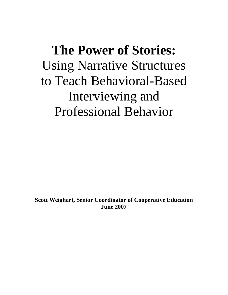# **The Power of Stories:** Using Narrative Structures to Teach Behavioral-Based Interviewing and Professional Behavior

**Scott Weighart, Senior Coordinator of Cooperative Education June 2007**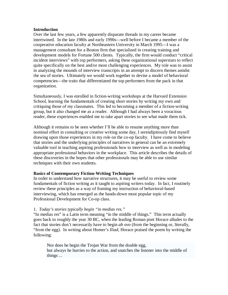#### **Introduction**

Over the last few years, a few apparently disparate threads in my career became intertwined. In the late 1980s and early 1990s—well before I became a member of the cooperative education faculty at Northeastern University in March 1995—I was a management consultant for a Boston firm that specialized in creating training and development models for Fortune 500 clients. Typically, the firm would conduct "critical incident interviews" with top performers, asking these organizational superstars to reflect quite specifically on the best and/or most challenging experiences. My role was to assist in analyzing the mounds of interview transcripts in an attempt to discern themes amidst the sea of stories. Ultimately we would work together to devise a model of behavioral competencies—the traits that differentiated the top performers from the pack in that organization.

Simultaneously, I was enrolled in fiction-writing workshops at the Harvard Extension School, learning the fundamentals of creating short stories by writing my own and critiquing those of my classmates. This led to becoming a member of a fiction-writing group, but it also changed me as a reader. Although I had always been a voracious reader, these experiences enabled me to take apart stories to see what made them tick.

Although it remains to be seen whether I'll be able to resume anything more than nominal effort in consulting or creative writing some day, I serendipitously find myself drawing upon those experiences in my role on the co-op faculty. I have come to believe that stories and the underlying principles of narratives in general can be an extremely valuable tool in teaching aspiring professionals how to interview as well as in modeling appropriate professional behaviors in the workplace. This article describes the details of these discoveries in the hopes that other professionals may be able to use similar techniques with their own students.

#### **Basics of Contemporary Fiction-Writing Techniques**

In order to understand how narrative structures, it may be useful to review some fundamentals of fiction writing as it taught to aspiring writers today. In fact, I routinely review these principles as a way of framing my instruction of behavioral-based interviewing, which has emerged as the hands-down most popular topic of my Professional Development for Co-op class.

#### 1. *Today's stories typically begin "in medias res."*

"In medias res" is a Latin term meaning "in the middle of things." This term actually goes back to roughly the year 30 BC, when the leading Roman poet Horace alludes to the fact that stories don't necessarily have to begin *ab ovo* (from the beginning or, literally, "from the egg). In writing about Homer's *Iliad*, Horace praised the poem by writing the following:

Nor does he begin the Trojan War from the double egg, but always he hurries to the action, and snatches the listener into the middle of things ...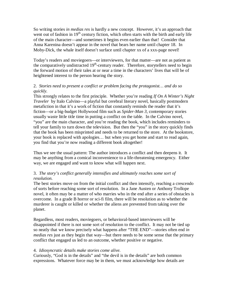So writing stories *in medias res* is hardly a new concept. However, it's an approach that went out of fashion in  $19<sup>th</sup>$  century fiction, which often starts with the birth and early life of the main character—and sometimes it begins even earlier than that! Consider that Anna Karenina doesn't appear in the novel that bears her name until chapter 18. In Moby-Dick, the whale itself doesn't surface until chapter xx of a xxx-page novel!

Today's readers and moviegoers—or interviewers, for that matter—are not as patient as the comparatively undistracted  $19<sup>th</sup>$ -century reader. Therefore, storytellers need to begin the forward motion of their tales at or near a time in the characters' lives that will be of heightened interest to the person hearing the story.

# 2. *Stories need to present a conflict or problem facing the protagonist… and do so quickly.*

This strongly relates to the first principle. Whether you're reading *If On A Winter's Night Traveler* by Italo Calvino—a playful but cerebral literary novel, basically postmodern metafiction in that it's a work of fiction that constantly reminds the reader that it's fiction—or a big-budget Hollywood film such as *Spider-Man 3*, contemporary stories usually waste little title time in putting a conflict on the table. In the Calvino novel, "you" are the main character, and you're reading the book, which includes reminders to tell your family to turn down the television. But then the "you" in the story quickly finds that the book has been misprinted and needs to be returned to the store. At the bookstore, your book is replaced with apologies… but when you get home and start to read again, you find that you're now reading a different book altogether!

Thus we see the usual pattern: The author introduces a conflict and then deepens it. It may be anything from a comical inconvenience to a life-threatening emergency. Either way, we are engaged and want to know what will happen next.

# 3. *The story's conflict generally intensifies and ultimately reaches some sort of resolution.*

The best stories move on from the initial conflict and then intensify, reaching a crescendo of sorts before reaching some sort of resolution. In a Jane Austen or Anthony Trollope novel, it often may be a matter of who marries who in the end after a series of obstacles is overcome. In a grade B horror or sci-fi film, there will be resolution as to whether the murderer is caught or killed or whether the aliens are prevented from taking over the planet.

Regardless, most readers, moviegoers, or behavioral-based interviewers will be disappointed if there is not some sort of resolution to the conflict. It may not be tied up so neatly that we know precisely what happens after "THE END"—stories often end *in medias res* just as they begin that way—but there needs to be some sense that the primary conflict that engaged us led to an outcome, whether positive or negative.

# 4. *Idiosyncratic details make stories come alive.*

Curiously, "God is in the details" and "the devil is in the details" are both common expressions. Whatever force may be in them, we must acknowledge how details are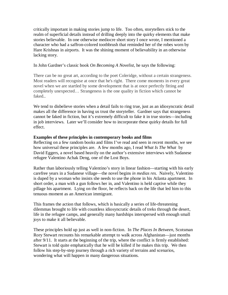critically important in making stories jump to life. Too often, storytellers stick to the realm of superficial details instead of drilling deeply into the quirky elements that make stories believable. In one otherwise mediocre short story I once wrote, I mentioned a character who had a saffron-colored toothbrush that reminded her of the robes worn by Hare Krishnas in airports. It was the shining moment of believability in an otherwise lacking story.

#### In John Gardner's classic book *On Becoming A Novelist*, he says the following:

There can be no great art, according to the poet Coleridge, without a certain strangeness. Most readers will recognise at once that he's right. There come moments in every great novel when we are startled by some development that is at once perfectly fitting and completely unexpected… Strangeness is the one quality in fiction which cannot be faked..

We tend to disbelieve stories when a detail fails to ring true, just as an idiosyncratic detail makes all the difference in having us trust the storyteller. Gardner says that strangeness cannot be faked in fiction, but it's extremely difficult to fake it in true stories—including in job interviews. Later we'll consider how to incorporate these quirky details for full effect.

#### **Examples of these principles in contemporary books and films**

Reflecting on a few random books and films I've read and seen in recent months, we see how universal these principles are. A few months ago, I read *What Is The What* by David Eggers, a novel based heavily on the author's extensive interviews with Sudanese refugee Valentino Achak Deng, one of the Lost Boys.

Rather than laboriously telling Valentino's story in linear fashion—starting with his early carefree years in a Sudanese village—the novel begins *in medias res.* Naively, Valentino is duped by a woman who insists she needs to use the phone in his Atlanta apartment. In short order, a man with a gun follows her in, and Valentino is held captive while they pillage his apartment. Lying on the floor, he reflects back on the life that led him to this tenuous moment as an American immigrant.

This frames the action that follows, which is basically a series of life-threatening dilemmas brought to life with countless idiosyncratic details of treks through the desert, life in the refugee camps, and generally many hardships interspersed with enough small joys to make it all believable.

These principles hold up just as well in non-fiction. In *The Places In Between*, Scotsman Rory Stewart recounts his remarkable attempt to walk across Afghanistan—just months after 9/11. It starts at the beginning of the trip, where the conflict is firmly established: Stewart is told quite emphatically that he will be killed if he makes this trip. We then follow his step-by-step journey through a rich variety of terrains and scenarios, wondering what will happen in many dangerous situations.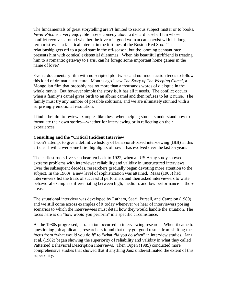The fundamentals of great storytelling aren't limited to serious subject matter or to books. *Fever Pitch* is a very enjoyable movie comedy about a diehard baseball fan whose conflict revolves around whether the love of a good woman can coexist with his longterm mistress—a fanatical interest in the fortunes of the Boston Red Sox. The relationship gets off to a good start in the off-season, but the looming pennant race presents him with comical existential dilemmas. When his beautiful girlfriend is treating him to a romantic getaway to Paris, can he forego some important home games in the name of love?

Even a documentary film with no scripted plot twists and not much action tends to follow this kind of dramatic structure. Months ago I saw *The Story of The Weeping Camel*, a Mongolian film that probably has no more than a thousands words of dialogue in the whole movie. But however simple the story is, it has all it needs. The conflict occurs when a family's camel gives birth to an albino camel and then refuses to let it nurse. The family must try any number of possible solutions, and we are ultimately stunned with a surprisingly emotional resolution.

I find it helpful to review examples like these when helping students understand how to formulate their own stories—whether for interviewing or in reflecting on their experiences.

## **Consulting and the "Critical Incident Interview"**

I won't attempt to give a definitive history of behavioral-based interviewing (BBI) in this article. I will cover some brief highlights of how it has evolved over the last 85 years.

The earliest roots I've seen hearken back to 1922, when an US Army study showed extreme problems with interviewer reliability and validity in unstructured interviews. Over the subsequent decades, researchers gradually began devoting more attention to the subject. In the 1960s, a new level of sophistication was attained. Maas (1965) had interviewers list the traits of successful performers and then asked interviewers to write behavioral examples differentiating between high, medium, and low performance in those areas.

The situational interview was developed by Latham, Saari, Pursell, and Campion (1980), and we still come across examples of it today whenever we hear of interviewers posing scenarios to which the interviewees must detail how they would handle the situation. The focus here is on "how *would* you perform" in a specific circumstance.

As the 1980s progressed, a transition occurred in interviewing research. When it came to questioning job applicants, researchers found that they got good results from shifting the focus from "what would you do *if*" to "what *did* you do *when*" in interview studies. Janz et al. (1982) began showing the superiority of reliability and validity in what they called Patterned Behavioral Description Interviews. Then Orpen (1985) conducted more comprehensive studies that showed that if anything Janz underestimated the extent of this superiority.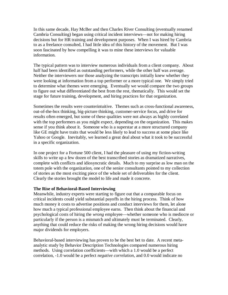In this same decade, Hay McBer and then Charles River Consulting (eventually renamed Cambria Consulting) began using critical incident interviews—not for making hiring decisions but for HR training and development purposes. When I was hired by Cambria to as a freelance consulted, I had little idea of this history of the movement. But I was soon fascinated by how compelling it was to mine these interviews for valuable information.

The typical pattern was to interview numerous individuals from a client company. About half had been identified as outstanding performers, while the other half was average. Neither the interviewers nor those analyzing the transcripts initially knew whether they were looking at information from a top performer or a more typical one. We simply tried to determine what themes were emerging. Eventually we would compare the two groups to figure out what differentiated the best from the rest, thematically. This would set the stage for future training, development, and hiring practices for that organization.

Sometimes the results were counterintuitive. Themes such as cross-functional awareness, out-of-the-box thinking, big-picture thinking, customer-service focus, and drive for results often emerged, but some of these qualities were not always as highly correlated with the top performers as you might expect, depending on the organization. This makes sense if you think about it. Someone who is a superstar at a more structured company like GE might have traits that would be less likely to lead to success at some place like Yahoo or Google. Inevitably, we learned a great deal about what it took to be successful in a specific organization.

In one project for a Fortune 500 client, I had the pleasure of using my fiction-writing skills to write up a few dozen of the best transcribed stories as dramatized narratives, complete with conflicts and idiosyncratic details. Much to my surprise as low man on the totem pole with the organization, one of the senior consultants pointed to my collection of stories as the most exciting piece of the whole set of deliverables for the client. Clearly the stories brought the model to life and made it concrete.

#### **The Rise of Behavioral-Based Interviewing**

Meanwhile, industry experts were starting to figure out that a comparable focus on critical incidents could yield substantial payoffs in the hiring process. Think of how much money it costs to advertise positions and conduct interviews for them, let alone how much a typical professional employee earns. Then think about the financial and psychological costs of hiring the *wrong* employee—whether someone who is mediocre or particularly if the person is a mismatch and ultimately must be terminated. Clearly, anything that could reduce the risks of making the wrong hiring decisions would have major dividends for employers.

Behavioral-based interviewing has proven to be the best bet to date. A recent metaanalytic study by Behavior Description Technologies compared numerous hiring methods. Using correlation coefficients—with which a 1.0 would be a perfect correlation, -1.0 would be a perfect *negative correlation*, and 0.0 would indicate no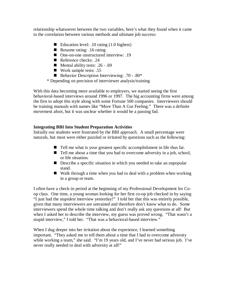relationship whatsoever between the two variables, here's what they found when it came to the correlation between various methods and ultimate job success:

- Education level: .10 rating  $(1.0 \text{ highest})$
- Resume rating:  $.16$  rating
- One-on-one unstructured interview: .19
- Reference checks: .24
- **Mental ability tests: .26 .69**
- Work sample tests: .55
- Behavior Description Interviewing: .70 .80<sup>\*</sup>
- \* Depending on precision of interviewer analysis/training

With this data becoming more available to employers, we started seeing the first behavioral-based interviews around 1996 or 1997. The big accounting firms were among the first to adopt this style along with some Fortune 500 companies. Interviewers should be training manuals with names like "More Than A Gut Feeling." There was a definite movement afoot, but it was unclear whether it would be a passing fad.

# **Integrating BBI Into Student Preparation Activities**

Initially our students were frustrated by the BBI approach. A small percentage were naturals, but most were either puzzled or irritated by questions such as the following:

- Tell me what is your greatest specific accomplishment in life thus far.
- Tell me about a time that you had to overcome adversity in a job, school, or life situation.
- Describe a specific situation in which you needed to take an unpopular stand.
- Walk through a time when you had to deal with a problem when working in a group or team.

I often have a check-in period at the beginning of my Professional Development for Coop class. One time, a young woman looking for her first co-op job checked in by saying "I just had the *stupidest* interview yesterday!" I told her that this was entirely possible, given that many interviewers are untrained and therefore don't know what to do. Some interviewers spend the whole time talking and don't really ask any questions at all! But when I asked her to describe the interview, my guess was proved wrong. "That wasn't a stupid interview," I told her. "That was a behavioral-based interview."

When I dug deeper into her irritation about the experience, I learned something important. "They asked me to tell them about a time that I had to overcome adversity while working a team," she said. "I'm 19 years old, and I've never had serious job. I've never really needed to deal with adversity at all!"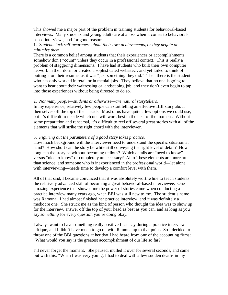This showed me a major part of the problem in training students for behavioral-based interviews. Many students and young adults are at a loss when it comes to behavioralbased interviews, and for good reason:

## 1. *Students lack self-awareness about their own achievements, or they negate or minimize them.*

There is a common belief among students that their experiences or accomplishments somehow don't "count" unless they occur in a professional context. This is really a problem of staggering dimensions. I have had students who built their own computer network in their dorm or created a sophisticated website… and yet failed to think of putting it on their resume, as it was "just something they did." Then there is the student who has only worked in retail or in menial jobs. They believe that no one is going to want to hear about their waitressing or landscaping job, and they don't even begin to tap into those experiences without being directed to do so.

## 2. *Not many people—students or otherwise—are natural storytellers.*

In my experience, relatively few people can start telling an effective BBI story about themselves off the top of their heads. Most of us have quite a few options we could use, but it's difficult to decide which one will work best in the heat of the moment. Without some preparation and rehearsal, it's difficult to reel off several great stories with all of the elements that will strike the right chord with the interviewer.

# 3. *Figuring out the parameters of a good story takes practice.*

How much background will the interviewer need to understand the specific situation at hand? How short can the story be while still conveying the right level of detail? How long can the story be without becoming tedious? Which details are "need to know" versus "nice to know" or completely unnecessary? All of these elements are more art than science, and someone who is inexperienced in the professional world—let alone with interviewing—needs time to develop a comfort level with them.

All of that said, I became convinced that it was absolutely worthwhile to teach students the relatively advanced skill of becoming a great behavioral-based interviewee. One amazing experience that showed me the power of stories came when conducting a practice interview many years ago, when BBI was still new to me. The student's name was Ramona. I had almost finished her practice interview, and it was definitely a mediocre one. She struck me as the kind of person who thought the idea was to show up for the interview, answer off the top of your head as best as you can, and as long as you say *something* for every question you're doing okay.

I always want to have something really positive I can say during a practice interview critique, and I didn't have much to go on with Ramona up to that point. So I decided to throw one of the BBI questions at her that I had heard from one of the accounting firms: "What would you say is the greatest accomplishment of our life so far?"

I'll never forget the moment. She paused, mulled it over for several seconds, and came out with this: "When I was very young, I had to deal with a few sudden deaths in my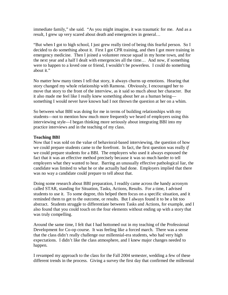immediate family," she said. "As you might imagine, it was traumatic for me. And as a result, I grew up very scared about death and emergencies in general…

"But when I got to high school, I just grew really tired of being this fearful person. So I decided to do something about it. First I got CPR training, and then I got more training in emergency medicine. Then I joined a volunteer rescue squad in my home town, and for the next year and a half I dealt with emergencies all the time… And now, if something were to happen to a loved one or friend, I wouldn't be powerless. I could do something about it."

No matter how many times I tell that story, it always churns up emotions. Hearing that story changed my whole relationship with Ramona. Obviously, I encouraged her to move that story to the front of the interview, as it said so much about her character. But it also made me feel like I really knew something about her as a human being something I would never have known had I not thrown the question at her on a whim.

So between what BBI was doing for me in terms of building relationships with my students—not to mention how much more frequently we heard of employers using this interviewing style—I began thinking more seriously about integrating BBI into my practice interviews and in the teaching of my class.

# **Teaching BBI**

Now that I was sold on the value of behavioral-based interviewing, the question of how we could prepare students came to the forefront. In fact, the first question was really *if*  we could prepare students for a BBI. The employers who used it always espoused the fact that it was an effective method precisely because it was so much harder to tell employers what they wanted to hear. Barring an unusually effective pathological liar, the candidate was limited to what he or she actually had done. Employers implied that there was no way a candidate could prepare to tell about that.

Doing some research about BBI preparation, I readily came across the handy acronym called STAR, standing for Situation, Tasks, Actions, Results. For a time, I advised students to use it. To some degree, this helped them focus on a specific situation, and it reminded them to get to the outcome, or results. But I always found it to be a bit too abstract. Students struggle to differentiate between Tasks and Actions, for example, and I also found that you could touch on the four elements without ending up with a story that was truly compelling.

Around the same time, I felt that I had bottomed out in my teaching of the Professional Development for Co-op course. It was feeling like a forced march. There was a sense that the class didn't really challenge our millennial-era students, who had very high expectations. I didn't like the class atmosphere, and I knew major changes needed to happen.

I revamped my approach to the class for the Fall 2004 semester, wedding a few of these different trends in the process. Giving a survey the first day that confirmed the millennial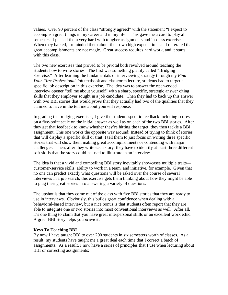values. Over 90 percent of the class "strongly agreed" with the statement "I expect to accomplish great things in my career and in my life." This gave me a card to play all semester. I pushed them very hard with tougher assignments and in-class exercises. When they balked, I reminded them about their own high expectations and reiterated that great accomplishments are not magic. Great success requires hard work, and it starts with this class.

The two new exercises that proved to be pivotal both revolved around teaching the students how to write stories. The first was something plainly called "Bridging Exercise." After learning the fundamentals of interviewing strategy through my *Find Your First Professional Job* textbook and classroom lecture, students had to target a specific job description in this exercise. The idea was to answer the open-ended interview opener "tell me about yourself" with a sharp, specific, strategic answer citing skills that they employer sought in a job candidate. Then they had to back up this answer with two BBI stories that would *prove* that they actually had two of the qualities that they claimed to have in the tell me about yourself response.

In grading the bridging exercises, I give the students specific feedback including scores on a five-point scale on the initial answer as well as on each of the two BBI stories. After they get that feedback to know whether they're hitting the target, they then tackle a BBI assignment. This one works the opposite way around: Instead of trying to think of stories that will display a specific skill or trait, I tell them to just focus on writing three specific stories that will show them making great accomplishments or contending with major challenges. Then, after they write each story, they have to identify at least three different soft skills that the story could be used to illustrate in an interview.

The idea is that a vivid and compelling BBI story inevitably showcases multiple traits customer-service skills, ability to work in a team, and initiative, for example. Given that no one can predict exactly what questions will be asked over the course of several interviews in a job search, this exercise gets them thinking about how they might be able to plug their great stories into answering a variety of questions.

The upshot is that they come out of the class with five BBI stories that they are ready to use in interviews. Obviously, this builds great confidence when dealing with a behavioral-based interview, but a nice bonus is that students often report that they are able to integrate one or two stories into most conventional interviews as well. After all, it's one thing to claim that you have great interpersonal skills or an excellent work ethic: A great BBI story helps you *prove* it.

#### **Keys To Teaching BBI**

By now I have taught BBI to over 200 students in six semesters worth of classes. As a result, my students have taught me a great deal each time that I correct a batch of assignments. As a result, I now have a series of principles that I use when lecturing about BBI or correcting assignments: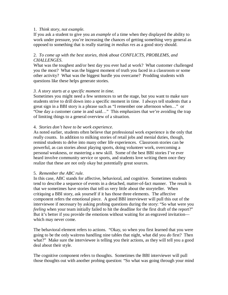## 1. *Think story, not example.*

If you ask a student to give you an *example* of a time when they displayed the ability to work under pressure, you're increasing the chances of getting something very general as opposed to something that is really starting *in medias res* as a good story should.

# 2. *To come up with the best stories, think about CONFLICTS, PROBLEMS, and CHALLENGES*.

What was the toughest and/or best day you ever had at work? What customer challenged you the most? What was the biggest moment of truth you faced in a classroom or some other activity? What was the biggest hurdle you overcame? Prodding students with questions like these helps generate stories.

## *3. A story starts at a specific moment in time.*

Sometimes you might need a few sentences to set the stage, but you want to make sure students strive to drill down into a specific moment in time. I always tell students that a great sign in a BBI story is a phrase such as "I remember one afternoon when…" or "One day a customer came in and said…" This emphasizes that we're avoiding the trap of limiting things to a general overview of a situation.

## 4. *Stories don't have to be work experience.*

As noted earlier, students often believe that professional work experience is the only that really counts. In addition to milking stories of retail jobs and menial duties, though, remind students to delve into many other life experiences. Classroom stories can be powerful, as can stories about playing sports, doing volunteer work, overcoming a personal weakness, or mastering a new skill. Some of the best BBI stories I've ever heard involve community service or sports, and students love writing them once they realize that these are not only okay but potentially great sources.

#### 5. *Remember the ABC rule.*

In this case, ABC stands for affective, behavioral, and cognitive. Sometimes students tend to describe a sequence of events in a detached, matter-of-fact manner. The result is that we sometimes have stories that tell us very little about the storyteller. When critiquing a BBI story, ask yourself if it has those three elements. The affective component refers the emotional piece. A good BBI interviewer will pull this out of the interviewee if necessary by asking probing questions during the story: "So what were you *feeling* when your team initially failed to hit the deadline for the first draft of the report?" But it's better if you provide the emotions without waiting for an engraved invitation which may never come.

The behavioral element refers to actions. "Okay, so when you first learned that you were going to be the only waitress handling nine tables that night, what did you *do* first? Then what?" Make sure the interviewee is telling you their actions, as they will tell you a good deal about their style.

The cognitive component refers to thoughts. Sometimes the BBI interviewer will pull those thoughts out with another probing question: "So what was going through your mind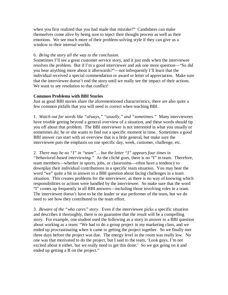when you first realized that you had made that mistake?" Candidates can make themselves come alive by being sure to inject their thought process as well as their emotions. We see much more of their problem-solving style if they can give us a window to their internal worlds.

## 6. *Bring the story all the way to the conclusion.*

Sometimes I'll see a great customer service story, and it just ends when the interviewee resolves the problem. But if I'm a good interviewer and ask one more question—"So did you hear anything more about it afterwards?"—not infrequently I'll learn that the individual received a special commendation or award or letter of appreciation. Make sure that the interviewee doesn't end the story until we really see the impact of their actions. We want to see resolution to that conflict!

## **Common Problems with BBI Stories**

Just as good BBI stories share the aforementioned characteristics, there are also quite a few common pitfalls that you will need to correct when teaching BBI.

1. *Watch out for words like "always," "usually," and "sometimes."* Many interviewees have trouble getting beyond a general overview of a situation, and these words should tip you off about that problem. The BBI interviewer is not interested in what you usually or sometimes do; he or she wants to find out a specific moment in time. Sometimes a good BBI answer can start with an overview that is a little general, but make sure the interviewee puts the emphasis on one specific day, week, customer, challenge, etc.

2. *There may be no "I" in "team"… but the letter "I" appears four times in* 

*"behavioral-based interviewing."* As the cliché goes, there is no "I" in team. Therefore, team members—whether in sports, jobs, or classrooms—often have a tendency to downplay their individual contributions in a specific team situation. You may hear the word "we" quite a bit in answer to a BBI question about facing challenges in a team situation. This creates problems for the interviewer, as there is no way of knowing which responsibilities or actions were handled by the interviewee. So make sure that the word "I" comes up frequently in all BBI answers—including those involving roles in a team. The interviewee doesn't have to be the leader or star performer of the team, but we do need to see how they contributed to the team effort.

3. *Beware of the "who cares" story.* Even if the interviewee picks a specific situation and describes it thoroughly, there is no guarantee that the result will be a compelling story. For example, one student used the following as a story in answer to a BBI question about working as a team: "We had to do a group project in my marketing class, and we ended up procrastinating when it came to getting the project together. So we finally met three days before the project was due. The energy level in the room was really low. No one was that motivated to do the project, but I said to the team, 'Look guys, I'm not excited about it either, but we really need to get this done.' So we got going on it and ended up getting a B on the project."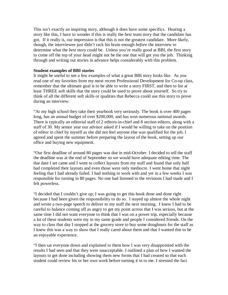This isn't exactly an inspiring story, although it does have some specifics. Hearing a story like this, I have to wonder if this is really the *best* team story that the candidate has got. If it really is, our impression is that this is not the greatest candidate. More likely, though, the interviewee just didn't rack his brain enough *before* the interview to determine what the *best* story could be. Unless you're really good at BBI, the first story to come off the top of your head might not be the one that will get you the job. Thinking through and writing out stories in advance helps considerably with this problem.

#### **Student examples of BBI stories**

It might be useful to see a few examples of what a great BBI story looks like. As you read one of my favorites from my most recent Professional Development for Co-op class, remember that the ultimate goal is to be able to write a story FIRST, and then to list at least THREE soft skills that the story could be used to prove about yourself. So try to think of all the different soft skills or qualities that Rebecca could use this story to prove during an interview:

"At my high school they take their yearbook very seriously. The book is over 400 pages long, has an annual budget of over \$200,000, and has won numerous national awards. There is typically an editorial staff of 2 editors-in-chief and 8 section editors, along with a staff of 30. My senior year our advisor asked if I would be willing to take on the position of editor in chief by myself as she did not feel anyone else was qualified for the job. I agreed and spent the summer before preparing the layout of the book, setting up our office and buying new equipment.

"Our first deadline of around 80 pages was due in mid-October. I decided to tell the staff the deadline was at the end of September so we would have adequate editing time. The due date I set came and I went to collect layouts from my staff and found that only half had completed their layouts and even those were only mediocre. I went home that night feeling that I had already failed. I had nothing to work with and yet in a few weeks I was responsible for turning in 80 pages. No one had listened to the revisions I had made and I felt powerless.

"I decided that I couldn't give up; I was going to get this book done and done right because I had been given the responsibility to do so. I stayed up almost the whole night and wrote a two-page speech to deliver to my staff the next morning. I knew I had to be careful to balance coming off as angry to get my point across that I was serious, but at the same time I did not want everyone to think that I was on a power trip, especially because a lot of these students were my in my same grade and people I considered friends. On the way to class that day I stopped at the grocery store to buy some doughnuts for the staff as I knew this was a way to show that I really cared about them and that I wanted this to be an enjoyable experience.

"I then sat everyone down and explained to them how I was very disappointed with the results I had seen and that they were unacceptable. I outlined a plan of how I wanted the layouts to get done including showing them new forms that I had created so that each student could review his or her own work before turning it in to me. I stressed the fact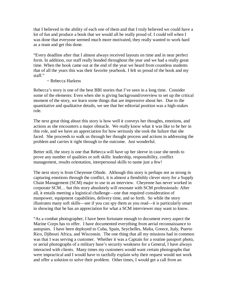that I believed in the ability of each one of them and that I truly believed we could have a lot of fun and produce a book that we would all be really proud of. I could tell when I was done that everyone seemed much more motivated, they really wanted to work hard as a team and get this done.

"Every deadline after that I almost always received layouts on time and in near perfect form. In addition, our staff really bonded throughout the year and we had a really great time. When the book came out at the end of the year we heard from countless students that of all the years this was their favorite yearbook. I felt so proud of the book and my staff."

## *~* Rebecca Harkess

Rebecca's story is one of the best BBI stories that I've seen in a long time. Consider some of the elements: Even when she is giving background/overview to set up the critical moment of the story, we learn some things that are impressive about her. Due to the quantitative and qualitative details, we see that her editorial position was a high-stakes role.

The next great thing about this story is how well it conveys her thoughts, emotions, and actions as she encounters a major obstacle. We really know what it was like to be her in this role, and we have an appreciation for how seriously she took the failure that she faced. She proceeds to walk us through her thought process and actions in addressing the problem and carries it right through to the outcome. Just wonderful.

Better still, the story is one that Rebecca will have up her sleeve in case she needs to prove any number of qualities or soft skills: leadership, responsibility, conflict management, results orientation, interpersonal skills to name just a few!

The next story is from Cheyenne Olinde. Although this story is perhaps not as strong in capturing emotions through the conflict, it is almost a fiendishly clever story for a Supply Chain Management (SCM) major to use in an interview. Cheyenne has never worked in corporate SCM… but this story absolutely will resonate with SCM professionals: After all, it entails meeting a logistical challenge—one that required consideration of manpower, equipment capabilities, delivery time, and so forth. So while the story illustrates many soft skills—see if you can spy them as you read—it is particularly smart in showing that he has an appreciation for what a SCM interviewer may want to know.

"As a combat photographer, I have been fortunate enough to document every aspect the Marine Corps has to offer. I have documented everything from aerial reconnaissance to autopsies. I have been deployed to Cuba, Spain, Seychelles, Malta, Greece, Italy, Puerto Rico, Djibouti Africa, and Wisconsin. The one thing that all my missions had in common was that I was serving a customer. Whether it was a Captain for a routine passport photo, or aerial photographs of a military base's security weakness for a General, I have always interacted with clients. Many times my customers would want certain photographs that were impractical and I would have to tactfully explain why their request would not work and offer a solution to solve their problem. Other times, I would get a call from an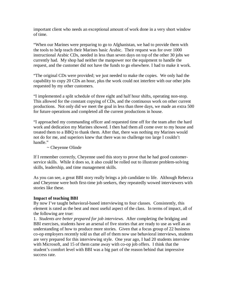important client who needs an exceptional amount of work done in a very short window of time.

"When our Marines were preparing to go to Afghanistan, we had to provide them with the tools to help teach their Marines basic Arabic. Their request was for over 1000 instructional Arabic CDs, needed in less than seven days on top of the other 30 jobs we currently had. My shop had neither the manpower nor the equipment to handle the request, and the customer did not have the funds to go elsewhere. I had to make it work.

"The original CDs were provided; we just needed to make the copies. We only had the capability to copy 20 CDs an hour, plus the work could not interfere with our other jobs requested by my other customers.

"I implemented a split schedule of three eight and half hour shifts, operating non-stop. This allowed for the constant copying of CDs, and the continuous work on other current productions. Not only did we meet the goal in less than three days, we made an extra 500 for future operations and completed all the current productions in house.

"I approached my commanding officer and requested time off for the team after the hard work and dedication my Marines showed. I then had them all come over to my house and treated them to a BBQ to thank them. After that, there was nothing my Marines would not do for me, and superiors knew that there was no challenge too large I couldn't handle."

~ Cheyenne Olinde

If I remember correctly, Cheyenne used this story to prove that he had good customerservice skills. While it does so, it also could be rolled out to illustrate problem-solving skills, leadership, and time management skills.

As you can see, a great BBI story really brings a job candidate to life. Although Rebecca and Cheyenne were both first-time job seekers, they repeatedly wowed interviewers with stories like these.

# **Impact of teaching BBI**

By now I've taught behavioral-based interviewing to four classes. Consistently, this element is rated as the best and most useful aspect of the class. In terms of impact, all of the following are true:

1. *Students are better prepared for job interviews.* After completing the bridging and BBI exercises, students have an arsenal of five stories that are ready to use as well as an understanding of how to produce more stories. Given that a focus group of 22 business co-op employers recently told us that *all* of them now use behavioral interviews, students are very prepared for this interviewing style. One year ago, I had 20 students interview with Microsoft, and 15 of them came away with co-op job offers. I think that the student's comfort level with BBI was a big part of the reason behind that impressive success rate.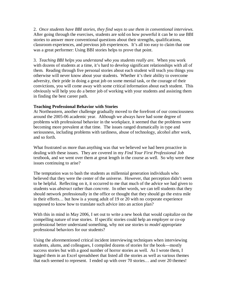2. *Once students have BBI stories, they find ways to use them in conventional interviews.*  After going through the exercises, students are sold on how powerful it can be to use BBI stories to answer more conventional questions about their strengths, qualifications, classroom experiences, and previous job experiences. It's all too easy to claim that one was a great performer: Using BBI stories helps to prove that point.

3. *Teaching BBI helps you understand who you students really are.* When you work with dozens of students at a time, it's hard to develop significant relationships with all of them. Reading through five personal stories about each student will teach you things you otherwise will never know about your students. Whether it's their ability to overcome adversity, their pride in doing a great job on some menial task, or the courage of their convictions, you will come away with some critical information about each student. This obviously will help you do a better job of working with your students and assisting them in finding the best career path.

## **Teaching Professional Behavior with Stories**

At Northeastern, another challenge gradually moved to the forefront of our consciousness around the 2005-06 academic year. Although we always have had some degree of problems with professional behavior in the workplace, it seemed that the problems were becoming more prevalent at that time. The issues ranged dramatically in type and seriousness, including problems with tardiness, abuse of technology, alcohol after work, and so forth.

What frustrated us more than anything was that we believed we had been proactive in dealing with these issues. They are covered in my *Find Your First Professional Job*  textbook, and we went over them at great length in the course as well. So why were these issues continuing to arise?

The temptation was to bash the students as millennial generation individuals who believed that they were the center of the universe. However, that perception didn't seem to be helpful. Reflecting on it, it occurred to me that much of the advice we had given to students was *abstract* rather than *concrete.* In other words, we can tell students that they should network professionally in the office or thought that they should go the extra mile in their efforts… but how is a young adult of 19 or 20 with no corporate experience supposed to know how to translate such advice into an action plan?

With this in mind in May 2006, I set out to write a new book that would capitalize on the compelling nature of true stories. If specific stories could help an employer or co-op professional better understand something, why not use stories to *model* appropriate professional behaviors for our students?

Using the aforementioned critical incident interviewing techniques when interviewing students, alums, and colleagues, I compiled dozens of stories for the book—mostly success stories but with a good number of horror stories as well. As I wrote them, I logged them in an Excel spreadsheet that listed all the stories as well as various themes that each seemed to represent. I ended up with over 70 stories… and over 20 themes!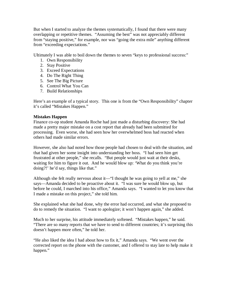But when I started to analyze the themes systematically, I found that there were many overlapping or repetitive themes. "Assuming the best" was not appreciably different from "staying positive," for example, nor was "going the extra mile" anything different from "exceeding expectations."

Ultimately I was able to boil down the themes to seven "keys to professional success:"

- 1. Own Responsibility
- 2. Stay Positive
- 3. Exceed Expectations
- 4. Do The Right Thing
- 5. See The Big Picture
- 6. Control What You Can
- 7. Build Relationships

Here's an example of a typical story. This one is from the "Own Responsibility" chapter it's called "Mistakes Happen."

# **Mistakes Happen**

Finance co-op student Amanda Roche had just made a disturbing discovery: She had made a pretty major mistake on a cost report that already had been submitted for processing. Even worse, she had seen how her overwhelmed boss had reacted when others had made similar errors.

However, she also had noted how those people had chosen to deal with the situation, and that had given her some insight into understanding her boss. "I had seen him get frustrated at other people," she recalls. "But people would just wait at their desks, waiting for him to figure it out. And he would blow up: 'What do you think you're doing?!' he'd say, things like that."

Although she felt really nervous about it—"I thought he was going to yell at me," she says—Amanda decided to be proactive about it. "I was sure he would blow up, but before he could, I marched into his office," Amanda says. "I wanted to let you know that I made a mistake on this project," she told him.

She explained what she had done, why the error had occurred, and what she proposed to do to remedy the situation. "I want to apologize; it won't happen again," she added.

Much to her surprise, his attitude immediately softened. "Mistakes happen," he said. "There are so many reports that we have to send to different countries; it's surprising this doesn't happen more often," he told her.

"He also liked the idea I had about how to fix it," Amanda says. "We went over the corrected report on the phone with the customer, and I offered to stay late to help make it happen."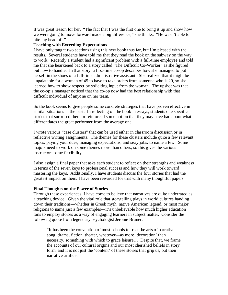It was great lesson for her. "The fact that I was the first one to bring it up and show how we were going to move forward made a big difference," she thinks. "He wasn't able to bite my head off."

## **Teaching with Exceeding Expectations**

I have only taught two sections using this new book thus far, but I'm pleased with the results. Several students have told me that they read the book on the subway on the way to work. Recently a student had a significant problem with a full-time employee and told me that she hearkened back to a story called "The Difficult Co-Worker" as she figured out how to handle. In that story, a first-time co-op describes how she managed to put herself in the shoes of a full-time administrative assistant. She realized that it might be unpalatable for a woman of 45 to have to take orders from someone who is 20, so she learned how to show respect by soliciting input from the woman. The upshot was that the co-op's manager noticed that the co-op now had the *best* relationship with that difficult individual of anyone on her team.

So the book seems to give people some concrete strategies that have proven effective in similar situations in the past. In reflecting on the book in essays, students cite specific stories that surprised them or reinforced some notion that they may have had about what differentiates the great performer from the average one.

I wrote various "case clusters" that can be used either in classroom discussion or in reflective writing assignments. The themes for these clusters include quite a few relevant topics: paying your dues, managing expectations, and sexy jobs, to name a few. Some majors need to work on some themes more than others, so this gives the various instructors some flexibility.

I also assign a final paper that asks each student to reflect on their strengths and weakness in terms of the seven keys to professional success and how they will work toward mastering the keys. Additionally, I have students discuss the four stories that had the greatest impact on them. I have been rewarded for that with many thoughtful papers.

# **Final Thoughts on the Power of Stories**

Through these experiences, I have come to believe that narratives are quite underrated as a teaching device. Given the vital role that storytelling plays in world cultures handing down their traditions—whether in Greek myth, native American legend, or most major religions to name just a few examples—it's unbelievable how much higher education fails to employ stories as a way of engaging learners in subject matter. Consider the following quote from legendary psychologist Jerome Bruner:

"It has been the convention of most schools to treat the arts of narrative song, drama, fiction, theater, whatever—as more 'decoration' than necessity, something with which to grace leisure… Despite that, we frame the accounts of our cultural origins and our most cherished beliefs in story form, and it is not just the 'content' of these stories that grip us, but their narrative artifice.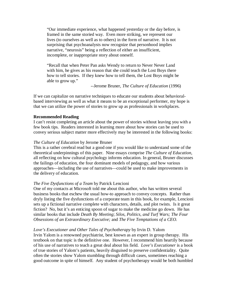"Our immediate experience, what happened yesterday or the day before, is framed in the same storied way. Even more striking, we represent our lives (to ourselves as well as to others) in the form of narrative. It is not surprising that psychoanalysts now recognize that personhood implies narrative, "neurosis" being a reflection of either an insufficient, incomplete, or inappropriate story about oneself.

"Recall that when Peter Pan asks Wendy to return to Never Never Land with him, he gives as his reason that she could teach the Lost Boys there how to tell stories. If they knew how to tell them, the Lost Boys might be able to grow up."

--Jerome Bruner, *The Culture of Education* (1996)

If we can capitalize on narrative techniques to educate our students about behavioralbased interviewing as well as what it means to be an exceptional performer, my hope is that we can utilize the power of stories to grow up as professionals in workplaces.

#### **Recommended Reading**

I can't resist completing an article about the power of stories without leaving you with a few book tips. Readers interested in learning more about how stories can be used to convey serious subject matter more effectively may be interested in the following books:

#### *The Culture of Education* by Jerome Bruner

This is a rather cerebral read but a good one if you would like to understand some of the theoretical underpinnings of this paper. Nine essays comprise *The Culture of Education,*  all reflecting on how cultural psychology informs education. In general, Bruner discusses the failings of education, the four dominant models of pedagogy, and how various approaches—including the use of narratives—could be used to make improvements in the delivery of education.

#### *The Five Dysfunctions of a Team* by Patrick Lencioni

One of my contacts at Microsoft told me about this author, who has written several business books that eschew the usual how-to approach to convey concepts. Rather than dryly listing the five dysfunctions of a corporate team in this book, for example, Lencioni sets up a fictional narrative complete with characters, details, and plot twists. Is it great fiction? No, but it's an enticing spoon of sugar to make the medicine go down. He has similar books that include *Death By Meeting*; *Silos, Politics, and Turf Wars; The Four Obsessions of an Extraordinary Executive;* and *The Five Temptations of a CEO.* 

#### *Love's Executioner and Other Tales of Psychotherapy* by Irvin D. Yalom

Irvin Yalom is a renowned psychiatrist, best known as an expert in group therapy. His textbook on that topic is the definitive one. However, I recommend him heartily because of his use of narratives to teach a great deal about his field. *Love's Executioner* is a book of true stories of Yalom's patients, heavily disguised to preserve confidentiality. Quite often the stories show Yalom stumbling through difficult cases, sometimes reaching a good outcome in spite of himself. Any student of psychotherapy would be both humbled